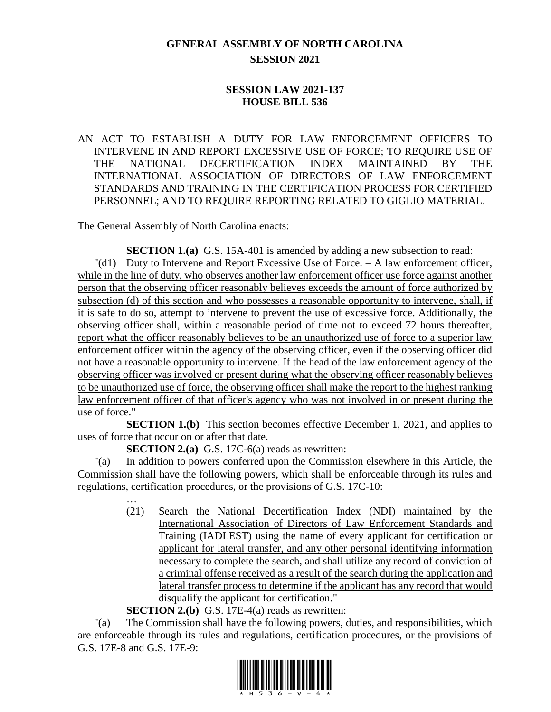## **GENERAL ASSEMBLY OF NORTH CAROLINA SESSION 2021**

## **SESSION LAW 2021-137 HOUSE BILL 536**

AN ACT TO ESTABLISH A DUTY FOR LAW ENFORCEMENT OFFICERS TO INTERVENE IN AND REPORT EXCESSIVE USE OF FORCE; TO REQUIRE USE OF THE NATIONAL DECERTIFICATION INDEX MAINTAINED BY THE INTERNATIONAL ASSOCIATION OF DIRECTORS OF LAW ENFORCEMENT STANDARDS AND TRAINING IN THE CERTIFICATION PROCESS FOR CERTIFIED PERSONNEL; AND TO REQUIRE REPORTING RELATED TO GIGLIO MATERIAL.

The General Assembly of North Carolina enacts:

**SECTION 1.(a)** G.S. 15A-401 is amended by adding a new subsection to read: "(d1) Duty to Intervene and Report Excessive Use of Force. – A law enforcement officer, while in the line of duty, who observes another law enforcement officer use force against another person that the observing officer reasonably believes exceeds the amount of force authorized by subsection (d) of this section and who possesses a reasonable opportunity to intervene, shall, if it is safe to do so, attempt to intervene to prevent the use of excessive force. Additionally, the observing officer shall, within a reasonable period of time not to exceed 72 hours thereafter, report what the officer reasonably believes to be an unauthorized use of force to a superior law enforcement officer within the agency of the observing officer, even if the observing officer did not have a reasonable opportunity to intervene. If the head of the law enforcement agency of the observing officer was involved or present during what the observing officer reasonably believes to be unauthorized use of force, the observing officer shall make the report to the highest ranking law enforcement officer of that officer's agency who was not involved in or present during the use of force."

**SECTION 1.(b)** This section becomes effective December 1, 2021, and applies to uses of force that occur on or after that date.

**SECTION 2.(a)** G.S. 17C-6(a) reads as rewritten:

"(a) In addition to powers conferred upon the Commission elsewhere in this Article, the Commission shall have the following powers, which shall be enforceable through its rules and regulations, certification procedures, or the provisions of G.S. 17C-10:

> … (21) Search the National Decertification Index (NDI) maintained by the International Association of Directors of Law Enforcement Standards and Training (IADLEST) using the name of every applicant for certification or applicant for lateral transfer, and any other personal identifying information necessary to complete the search, and shall utilize any record of conviction of a criminal offense received as a result of the search during the application and lateral transfer process to determine if the applicant has any record that would disqualify the applicant for certification."

**SECTION 2.(b)** G.S. 17E-4(a) reads as rewritten:

"(a) The Commission shall have the following powers, duties, and responsibilities, which are enforceable through its rules and regulations, certification procedures, or the provisions of G.S. 17E-8 and G.S. 17E-9:

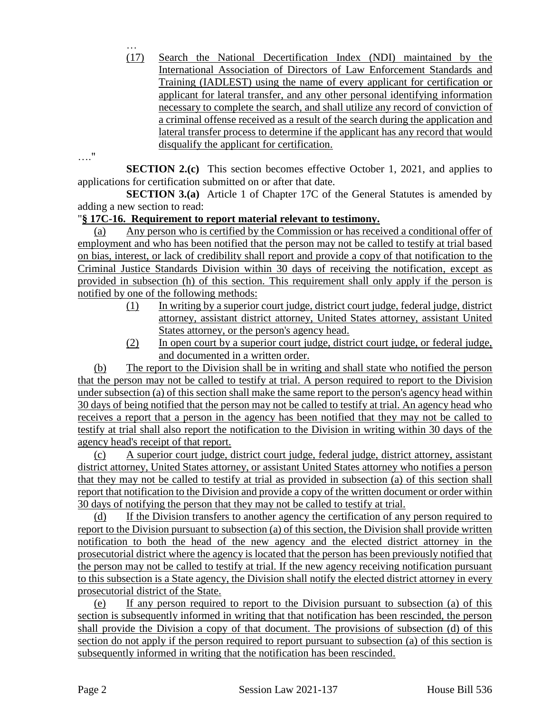(17) Search the National Decertification Index (NDI) maintained by the International Association of Directors of Law Enforcement Standards and Training (IADLEST) using the name of every applicant for certification or applicant for lateral transfer, and any other personal identifying information necessary to complete the search, and shall utilize any record of conviction of a criminal offense received as a result of the search during the application and lateral transfer process to determine if the applicant has any record that would disqualify the applicant for certification.

…."

…

**SECTION 2.(c)** This section becomes effective October 1, 2021, and applies to applications for certification submitted on or after that date.

**SECTION 3.(a)** Article 1 of Chapter 17C of the General Statutes is amended by adding a new section to read:

## "**§ 17C-16. Requirement to report material relevant to testimony.**

(a) Any person who is certified by the Commission or has received a conditional offer of employment and who has been notified that the person may not be called to testify at trial based on bias, interest, or lack of credibility shall report and provide a copy of that notification to the Criminal Justice Standards Division within 30 days of receiving the notification, except as provided in subsection (h) of this section. This requirement shall only apply if the person is notified by one of the following methods:

- (1) In writing by a superior court judge, district court judge, federal judge, district attorney, assistant district attorney, United States attorney, assistant United States attorney, or the person's agency head.
- (2) In open court by a superior court judge, district court judge, or federal judge, and documented in a written order.

(b) The report to the Division shall be in writing and shall state who notified the person that the person may not be called to testify at trial. A person required to report to the Division under subsection (a) of this section shall make the same report to the person's agency head within 30 days of being notified that the person may not be called to testify at trial. An agency head who receives a report that a person in the agency has been notified that they may not be called to testify at trial shall also report the notification to the Division in writing within 30 days of the agency head's receipt of that report.

(c) A superior court judge, district court judge, federal judge, district attorney, assistant district attorney, United States attorney, or assistant United States attorney who notifies a person that they may not be called to testify at trial as provided in subsection (a) of this section shall report that notification to the Division and provide a copy of the written document or order within 30 days of notifying the person that they may not be called to testify at trial.

(d) If the Division transfers to another agency the certification of any person required to report to the Division pursuant to subsection (a) of this section, the Division shall provide written notification to both the head of the new agency and the elected district attorney in the prosecutorial district where the agency is located that the person has been previously notified that the person may not be called to testify at trial. If the new agency receiving notification pursuant to this subsection is a State agency, the Division shall notify the elected district attorney in every prosecutorial district of the State.

(e) If any person required to report to the Division pursuant to subsection (a) of this section is subsequently informed in writing that that notification has been rescinded, the person shall provide the Division a copy of that document. The provisions of subsection (d) of this section do not apply if the person required to report pursuant to subsection (a) of this section is subsequently informed in writing that the notification has been rescinded.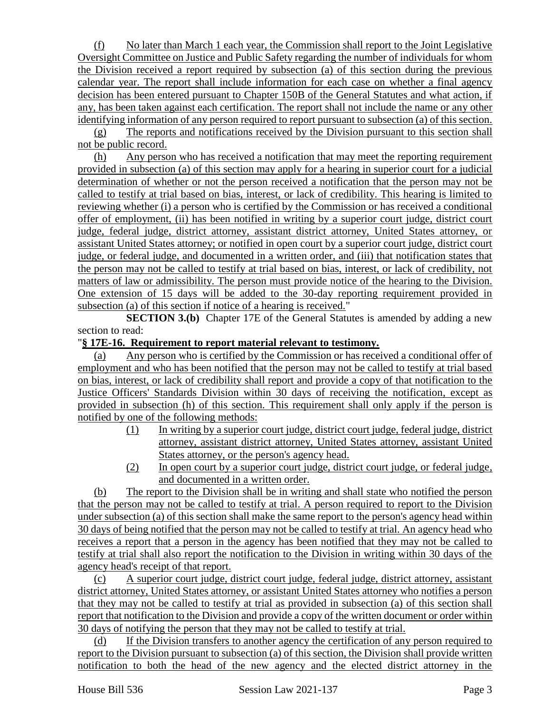(f) No later than March 1 each year, the Commission shall report to the Joint Legislative Oversight Committee on Justice and Public Safety regarding the number of individuals for whom the Division received a report required by subsection (a) of this section during the previous calendar year. The report shall include information for each case on whether a final agency decision has been entered pursuant to Chapter 150B of the General Statutes and what action, if any, has been taken against each certification. The report shall not include the name or any other identifying information of any person required to report pursuant to subsection (a) of this section.

(g) The reports and notifications received by the Division pursuant to this section shall not be public record.

(h) Any person who has received a notification that may meet the reporting requirement provided in subsection (a) of this section may apply for a hearing in superior court for a judicial determination of whether or not the person received a notification that the person may not be called to testify at trial based on bias, interest, or lack of credibility. This hearing is limited to reviewing whether (i) a person who is certified by the Commission or has received a conditional offer of employment, (ii) has been notified in writing by a superior court judge, district court judge, federal judge, district attorney, assistant district attorney, United States attorney, or assistant United States attorney; or notified in open court by a superior court judge, district court judge, or federal judge, and documented in a written order, and (iii) that notification states that the person may not be called to testify at trial based on bias, interest, or lack of credibility, not matters of law or admissibility. The person must provide notice of the hearing to the Division. One extension of 15 days will be added to the 30-day reporting requirement provided in subsection (a) of this section if notice of a hearing is received."

**SECTION 3.(b)** Chapter 17E of the General Statutes is amended by adding a new section to read:

## "**§ 17E-16. Requirement to report material relevant to testimony.**

(a) Any person who is certified by the Commission or has received a conditional offer of employment and who has been notified that the person may not be called to testify at trial based on bias, interest, or lack of credibility shall report and provide a copy of that notification to the Justice Officers' Standards Division within 30 days of receiving the notification, except as provided in subsection (h) of this section. This requirement shall only apply if the person is notified by one of the following methods:

- (1) In writing by a superior court judge, district court judge, federal judge, district attorney, assistant district attorney, United States attorney, assistant United States attorney, or the person's agency head.
- (2) In open court by a superior court judge, district court judge, or federal judge, and documented in a written order.

(b) The report to the Division shall be in writing and shall state who notified the person that the person may not be called to testify at trial. A person required to report to the Division under subsection (a) of this section shall make the same report to the person's agency head within 30 days of being notified that the person may not be called to testify at trial. An agency head who receives a report that a person in the agency has been notified that they may not be called to testify at trial shall also report the notification to the Division in writing within 30 days of the agency head's receipt of that report.

(c) A superior court judge, district court judge, federal judge, district attorney, assistant district attorney, United States attorney, or assistant United States attorney who notifies a person that they may not be called to testify at trial as provided in subsection (a) of this section shall report that notification to the Division and provide a copy of the written document or order within 30 days of notifying the person that they may not be called to testify at trial.

(d) If the Division transfers to another agency the certification of any person required to report to the Division pursuant to subsection (a) of this section, the Division shall provide written notification to both the head of the new agency and the elected district attorney in the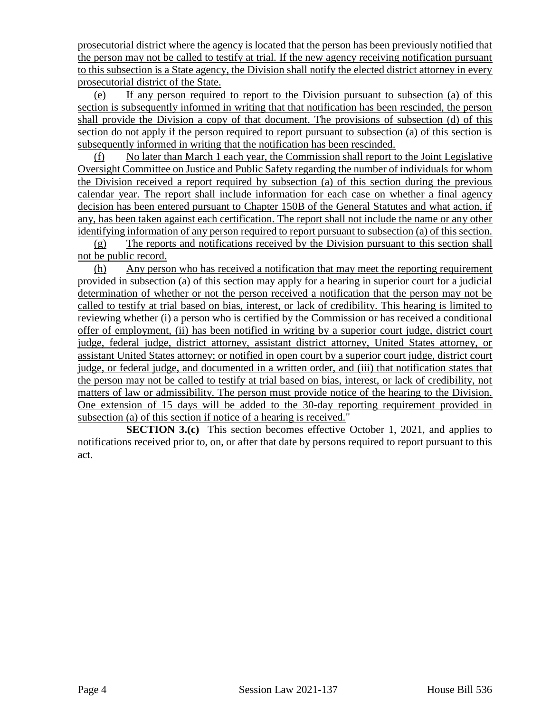prosecutorial district where the agency is located that the person has been previously notified that the person may not be called to testify at trial. If the new agency receiving notification pursuant to this subsection is a State agency, the Division shall notify the elected district attorney in every prosecutorial district of the State.

(e) If any person required to report to the Division pursuant to subsection (a) of this section is subsequently informed in writing that that notification has been rescinded, the person shall provide the Division a copy of that document. The provisions of subsection (d) of this section do not apply if the person required to report pursuant to subsection (a) of this section is subsequently informed in writing that the notification has been rescinded.

(f) No later than March 1 each year, the Commission shall report to the Joint Legislative Oversight Committee on Justice and Public Safety regarding the number of individuals for whom the Division received a report required by subsection (a) of this section during the previous calendar year. The report shall include information for each case on whether a final agency decision has been entered pursuant to Chapter 150B of the General Statutes and what action, if any, has been taken against each certification. The report shall not include the name or any other identifying information of any person required to report pursuant to subsection (a) of this section.

(g) The reports and notifications received by the Division pursuant to this section shall not be public record.

(h) Any person who has received a notification that may meet the reporting requirement provided in subsection (a) of this section may apply for a hearing in superior court for a judicial determination of whether or not the person received a notification that the person may not be called to testify at trial based on bias, interest, or lack of credibility. This hearing is limited to reviewing whether (i) a person who is certified by the Commission or has received a conditional offer of employment, (ii) has been notified in writing by a superior court judge, district court judge, federal judge, district attorney, assistant district attorney, United States attorney, or assistant United States attorney; or notified in open court by a superior court judge, district court judge, or federal judge, and documented in a written order, and (iii) that notification states that the person may not be called to testify at trial based on bias, interest, or lack of credibility, not matters of law or admissibility. The person must provide notice of the hearing to the Division. One extension of 15 days will be added to the 30-day reporting requirement provided in subsection (a) of this section if notice of a hearing is received."

**SECTION 3.(c)** This section becomes effective October 1, 2021, and applies to notifications received prior to, on, or after that date by persons required to report pursuant to this act.